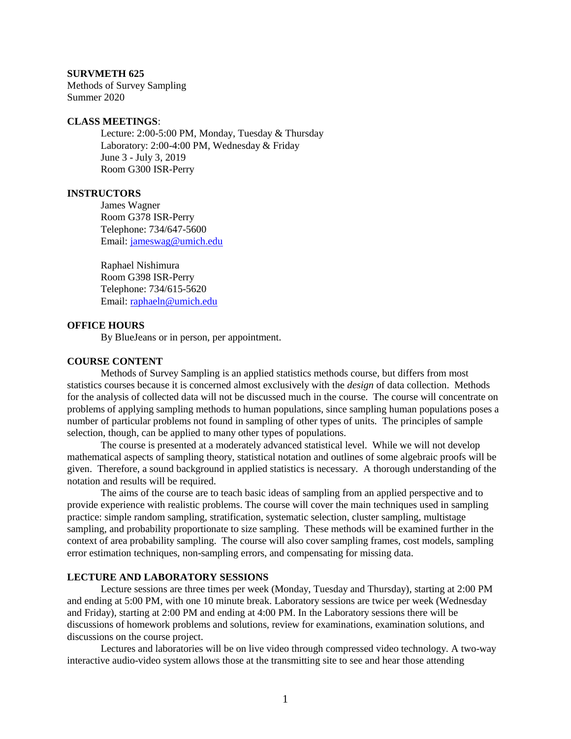#### **SURVMETH 625**

Methods of Survey Sampling Summer 2020

#### **CLASS MEETINGS**:

Lecture: 2:00-5:00 PM, Monday, Tuesday & Thursday Laboratory: 2:00-4:00 PM, Wednesday & Friday June 3 - July 3, 2019 Room G300 ISR-Perry

#### **INSTRUCTORS**

James Wagner Room G378 ISR-Perry Telephone: 734/647-5600 Email: [jameswag@umich.edu](mailto:jameswag@umich.edu)

Raphael Nishimura Room G398 ISR-Perry Telephone: 734/615-5620 Email: [raphaeln@umich.edu](mailto:raphaeln@umich.edu)

## **OFFICE HOURS**

By BlueJeans or in person, per appointment.

# **COURSE CONTENT**

Methods of Survey Sampling is an applied statistics methods course, but differs from most statistics courses because it is concerned almost exclusively with the *design* of data collection. Methods for the analysis of collected data will not be discussed much in the course. The course will concentrate on problems of applying sampling methods to human populations, since sampling human populations poses a number of particular problems not found in sampling of other types of units. The principles of sample selection, though, can be applied to many other types of populations.

The course is presented at a moderately advanced statistical level. While we will not develop mathematical aspects of sampling theory, statistical notation and outlines of some algebraic proofs will be given. Therefore, a sound background in applied statistics is necessary. A thorough understanding of the notation and results will be required.

The aims of the course are to teach basic ideas of sampling from an applied perspective and to provide experience with realistic problems. The course will cover the main techniques used in sampling practice: simple random sampling, stratification, systematic selection, cluster sampling, multistage sampling, and probability proportionate to size sampling. These methods will be examined further in the context of area probability sampling. The course will also cover sampling frames, cost models, sampling error estimation techniques, non-sampling errors, and compensating for missing data.

## **LECTURE AND LABORATORY SESSIONS**

Lecture sessions are three times per week (Monday, Tuesday and Thursday), starting at 2:00 PM and ending at 5:00 PM, with one 10 minute break. Laboratory sessions are twice per week (Wednesday and Friday), starting at 2:00 PM and ending at 4:00 PM. In the Laboratory sessions there will be discussions of homework problems and solutions, review for examinations, examination solutions, and discussions on the course project.

Lectures and laboratories will be on live video through compressed video technology. A two-way interactive audio-video system allows those at the transmitting site to see and hear those attending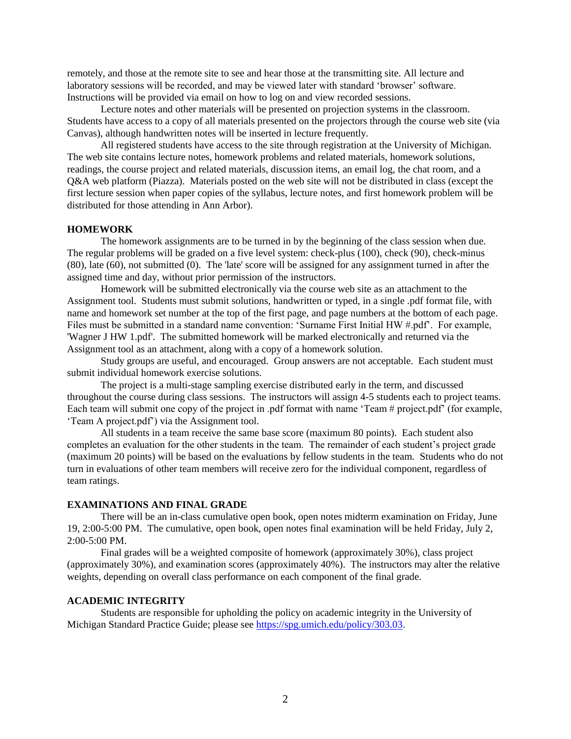remotely, and those at the remote site to see and hear those at the transmitting site. All lecture and laboratory sessions will be recorded, and may be viewed later with standard 'browser' software. Instructions will be provided via email on how to log on and view recorded sessions.

Lecture notes and other materials will be presented on projection systems in the classroom. Students have access to a copy of all materials presented on the projectors through the course web site (via Canvas), although handwritten notes will be inserted in lecture frequently.

All registered students have access to the site through registration at the University of Michigan. The web site contains lecture notes, homework problems and related materials, homework solutions, readings, the course project and related materials, discussion items, an email log, the chat room, and a Q&A web platform (Piazza). Materials posted on the web site will not be distributed in class (except the first lecture session when paper copies of the syllabus, lecture notes, and first homework problem will be distributed for those attending in Ann Arbor).

#### **HOMEWORK**

The homework assignments are to be turned in by the beginning of the class session when due. The regular problems will be graded on a five level system: check-plus (100), check (90), check-minus (80), late (60), not submitted (0). The 'late' score will be assigned for any assignment turned in after the assigned time and day, without prior permission of the instructors.

Homework will be submitted electronically via the course web site as an attachment to the Assignment tool. Students must submit solutions, handwritten or typed, in a single .pdf format file, with name and homework set number at the top of the first page, and page numbers at the bottom of each page. Files must be submitted in a standard name convention: 'Surname First Initial HW #.pdf'. For example, 'Wagner J HW 1.pdf'. The submitted homework will be marked electronically and returned via the Assignment tool as an attachment, along with a copy of a homework solution.

Study groups are useful, and encouraged. Group answers are not acceptable. Each student must submit individual homework exercise solutions.

The project is a multi-stage sampling exercise distributed early in the term, and discussed throughout the course during class sessions. The instructors will assign 4-5 students each to project teams. Each team will submit one copy of the project in .pdf format with name 'Team # project.pdf' (for example, 'Team A project.pdf') via the Assignment tool.

All students in a team receive the same base score (maximum 80 points). Each student also completes an evaluation for the other students in the team. The remainder of each student's project grade (maximum 20 points) will be based on the evaluations by fellow students in the team. Students who do not turn in evaluations of other team members will receive zero for the individual component, regardless of team ratings.

## **EXAMINATIONS AND FINAL GRADE**

There will be an in-class cumulative open book, open notes midterm examination on Friday, June 19, 2:00-5:00 PM. The cumulative, open book, open notes final examination will be held Friday, July 2, 2:00-5:00 PM.

Final grades will be a weighted composite of homework (approximately 30%), class project (approximately 30%), and examination scores (approximately 40%). The instructors may alter the relative weights, depending on overall class performance on each component of the final grade.

# **ACADEMIC INTEGRITY**

Students are responsible for upholding the policy on academic integrity in the University of Michigan Standard Practice Guide; please see [https://spg.umich.edu/policy/303.03.](https://spg.umich.edu/policy/303.03)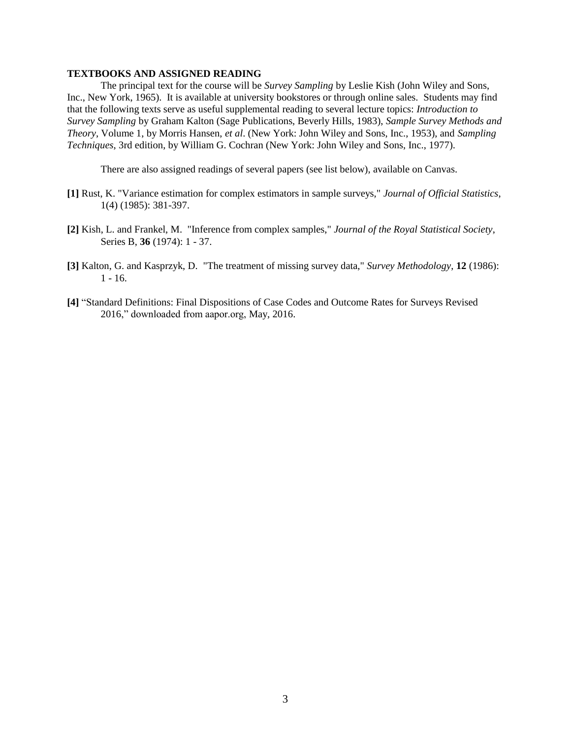## **TEXTBOOKS AND ASSIGNED READING**

The principal text for the course will be *Survey Sampling* by Leslie Kish (John Wiley and Sons, Inc., New York, 1965). It is available at university bookstores or through online sales. Students may find that the following texts serve as useful supplemental reading to several lecture topics: *Introduction to Survey Sampling* by Graham Kalton (Sage Publications, Beverly Hills, 1983), *Sample Survey Methods and Theory*, Volume 1, by Morris Hansen, *et al*. (New York: John Wiley and Sons, Inc., 1953), and *Sampling Techniques*, 3rd edition, by William G. Cochran (New York: John Wiley and Sons, Inc., 1977).

There are also assigned readings of several papers (see list below), available on Canvas.

- **[1]** Rust, K. "Variance estimation for complex estimators in sample surveys," *Journal of Official Statistics*, 1(4) (1985): 381-397.
- **[2]** Kish, L. and Frankel, M. "Inference from complex samples," *Journal of the Royal Statistical Society*, Series B, **36** (1974): 1 - 37.
- **[3]** Kalton, G. and Kasprzyk, D. "The treatment of missing survey data," *Survey Methodology*, **12** (1986): 1 - 16.
- **[4]** "Standard Definitions: Final Dispositions of Case Codes and Outcome Rates for Surveys Revised 2016," downloaded from aapor.org, May, 2016.